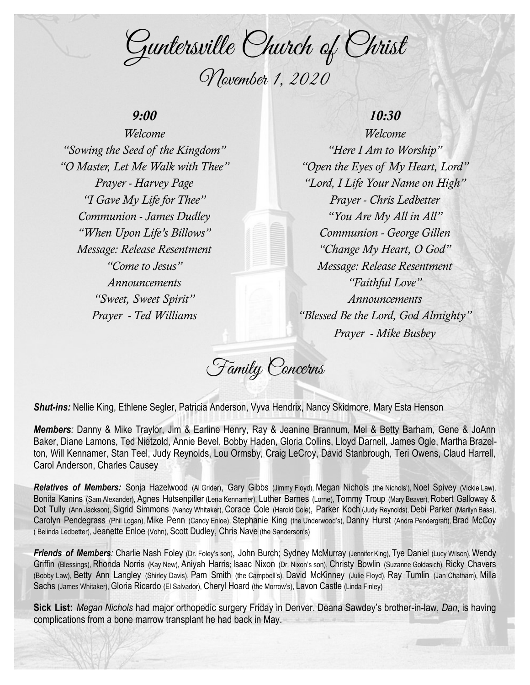Guntersville Church of Christ November 1, 2020

### *9:00*

*Welcome "Sowing the Seed of the Kingdom" "O Master, Let Me Walk with Thee" Prayer - Harvey Page "I Gave My Life for Thee" Communion - James Dudley "When Upon Life's Billows" Message: Release Resentment "Come to Jesus" Announcements "Sweet, Sweet Spirit" Prayer - Ted Williams*

# *10:30*

*Welcome "Here I Am to Worship" "Open the Eyes of My Heart, Lord" "Lord, I Life Your Name on High" Prayer - Chris Ledbetter "You Are My All in All" Communion - George Gillen "Change My Heart, O God" Message: Release Resentment "Faithful Love" Announcements "Blessed Be the Lord, God Almighty" Prayer - Mike Busbey*

Family Concerns

*Shut-ins:* Nellie King, Ethlene Segler, Patricia Anderson, Vyva Hendrix, Nancy Skidmore, Mary Esta Henson

*Members:* Danny & Mike Traylor, Jim & Earline Henry, Ray & Jeanine Brannum, Mel & Betty Barham, Gene & JoAnn Baker, Diane Lamons, Ted Nietzold, Annie Bevel, Bobby Haden, Gloria Collins, Lloyd Darnell, James Ogle, Martha Brazelton, Will Kennamer, Stan Teel, Judy Reynolds, Lou Ormsby, Craig LeCroy, David Stanbrough, Teri Owens, Claud Harrell, Carol Anderson, Charles Causey

*Relatives of Members:* Sonja Hazelwood (Al Grider), Gary Gibbs (Jimmy Floyd), Megan Nichols (the Nichols'), Noel Spivey (Vickie Law), Bonita Kanins (Sam Alexander), Agnes Hutsenpiller (Lena Kennamer), Luther Barnes (Lorne), Tommy Troup (Mary Beaver), Robert Galloway & Dot Tully (Ann Jackson), Sigrid Simmons (Nancy Whitaker), Corace Cole (Harold Cole), Parker Koch (Judy Reynolds), Debi Parker (Marilyn Bass), Carolyn Pendegrass (Phil Logan), Mike Penn (Candy Enloe), Stephanie King (the Underwood's), Danny Hurst (Andra Pendergraft), Brad McCoy ( Belinda Ledbetter), Jeanette Enloe (Vohn), Scott Dudley, Chris Nave (the Sanderson's)

**Friends of Members**: Charlie Nash Foley (Dr. Foley's son), John Burch; Sydney McMurray (Jennifer King), Tye Daniel (Lucy Wilson), Wendy Griffin (Blessings), Rhonda Norris (Kay New), Aniyah Harris; Isaac Nixon (Dr. Nixon's son), Christy Bowlin (Suzanne Goldasich), Ricky Chavers (Bobby Law), Betty Ann Langley (Shirley Davis), Pam Smith (the Campbell's), David McKinney (Julie Floyd), Ray Tumlin (Jan Chatham), Milla Sachs (James Whitaker), Gloria Ricardo (El Salvador), Cheryl Hoard (the Morrow's), Lavon Castle (Linda Finley)

**Sick List:** *Megan Nichols* had major orthopedic surgery Friday in Denver. Deana Sawdey's brother-in-law, *Dan*, is having complications from a bone marrow transplant he had back in May.